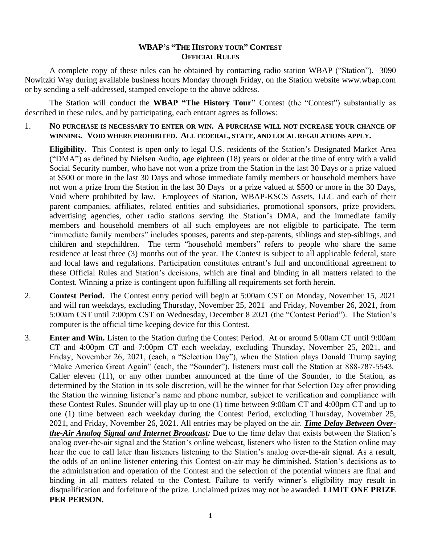## **WBAP'S "THE HISTORY TOUR" CONTEST OFFICIAL RULES**

A complete copy of these rules can be obtained by contacting radio station WBAP ("Station"), 3090 Nowitzki Way during available business hours Monday through Friday, on the Station website www.wbap.com or by sending a self-addressed, stamped envelope to the above address.

The Station will conduct the **WBAP "The History Tour"** Contest (the "Contest") substantially as described in these rules, and by participating, each entrant agrees as follows:

1. **NO PURCHASE IS NECESSARY TO ENTER OR WIN. A PURCHASE WILL NOT INCREASE YOUR CHANCE OF WINNING. VOID WHERE PROHIBITED. ALL FEDERAL, STATE, AND LOCAL REGULATIONS APPLY.**

**Eligibility.** This Contest is open only to legal U.S. residents of the Station's Designated Market Area ("DMA") as defined by Nielsen Audio, age eighteen (18) years or older at the time of entry with a valid Social Security number, who have not won a prize from the Station in the last 30 Days or a prize valued at \$500 or more in the last 30 Days and whose immediate family members or household members have not won a prize from the Station in the last 30 Days or a prize valued at \$500 or more in the 30 Days, Void where prohibited by law. Employees of Station, WBAP-KSCS Assets, LLC and each of their parent companies, affiliates, related entities and subsidiaries, promotional sponsors, prize providers, advertising agencies, other radio stations serving the Station's DMA, and the immediate family members and household members of all such employees are not eligible to participate. The term "immediate family members" includes spouses, parents and step-parents, siblings and step-siblings, and children and stepchildren. The term "household members" refers to people who share the same residence at least three (3) months out of the year. The Contest is subject to all applicable federal, state and local laws and regulations. Participation constitutes entrant's full and unconditional agreement to these Official Rules and Station's decisions, which are final and binding in all matters related to the Contest. Winning a prize is contingent upon fulfilling all requirements set forth herein.

- 2. **Contest Period.** The Contest entry period will begin at 5:00am CST on Monday, November 15, 2021 and will run weekdays, excluding Thursday, November 25, 2021 and Friday, November 26, 2021, from 5:00am CST until 7:00pm CST on Wednesday, December 8 2021 (the "Contest Period"). The Station's computer is the official time keeping device for this Contest.
- 3. **Enter and Win.** Listen to the Station during the Contest Period. At or around 5:00am CT until 9:00am CT and 4:00pm CT and 7:00pm CT each weekday, excluding Thursday, November 25, 2021, and Friday, November 26, 2021, (each, a "Selection Day"), when the Station plays Donald Trump saying "Make America Great Again" (each, the "Sounder"), listeners must call the Station at 888-787-5543. Caller eleven (11), or any other number announced at the time of the Sounder, to the Station, as determined by the Station in its sole discretion, will be the winner for that Selection Day after providing the Station the winning listener's name and phone number, subject to verification and compliance with these Contest Rules. Sounder will play up to one (1) time between 9:00am CT and 4:00pm CT and up to one (1) time between each weekday during the Contest Period, excluding Thursday, November 25, 2021, and Friday, November 26, 2021. All entries may be played on the air. *Time Delay Between Overthe-Air Analog Signal and Internet Broadcast:* Due to the time delay that exists between the Station's analog over-the-air signal and the Station's online webcast, listeners who listen to the Station online may hear the cue to call later than listeners listening to the Station's analog over-the-air signal. As a result, the odds of an online listener entering this Contest on-air may be diminished. Station's decisions as to the administration and operation of the Contest and the selection of the potential winners are final and binding in all matters related to the Contest. Failure to verify winner's eligibility may result in disqualification and forfeiture of the prize. Unclaimed prizes may not be awarded. **LIMIT ONE PRIZE PER PERSON.**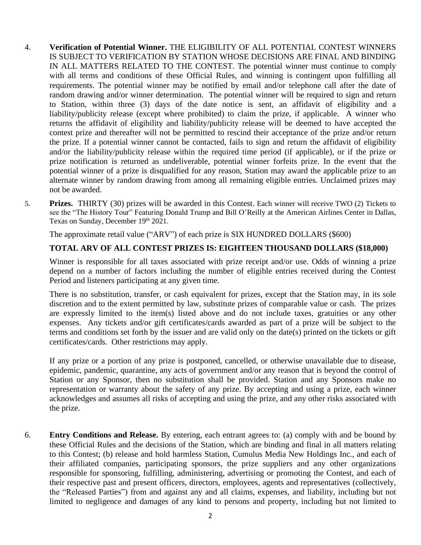- 4. **Verification of Potential Winner.** THE ELIGIBILITY OF ALL POTENTIAL CONTEST WINNERS IS SUBJECT TO VERIFICATION BY STATION WHOSE DECISIONS ARE FINAL AND BINDING IN ALL MATTERS RELATED TO THE CONTEST. The potential winner must continue to comply with all terms and conditions of these Official Rules, and winning is contingent upon fulfilling all requirements. The potential winner may be notified by email and/or telephone call after the date of random drawing and/or winner determination. The potential winner will be required to sign and return to Station, within three (3) days of the date notice is sent, an affidavit of eligibility and a liability/publicity release (except where prohibited) to claim the prize, if applicable. A winner who returns the affidavit of eligibility and liability/publicity release will be deemed to have accepted the contest prize and thereafter will not be permitted to rescind their acceptance of the prize and/or return the prize. If a potential winner cannot be contacted, fails to sign and return the affidavit of eligibility and/or the liability/publicity release within the required time period (if applicable), or if the prize or prize notification is returned as undeliverable, potential winner forfeits prize. In the event that the potential winner of a prize is disqualified for any reason, Station may award the applicable prize to an alternate winner by random drawing from among all remaining eligible entries. Unclaimed prizes may not be awarded.
- 5. **Prizes.** THIRTY (30) prizes will be awarded in this Contest. Each winner will receive TWO (2) Tickets to see the "The History Tour" Featuring Donald Trump and Bill O'Reilly at the American Airlines Center in Dallas, Texas on Sunday, December 19th 2021.

The approximate retail value ("ARV") of each prize is SIX HUNDRED DOLLARS (\$600)

## **TOTAL ARV OF ALL CONTEST PRIZES IS: EIGHTEEN THOUSAND DOLLARS (\$18,000)**

Winner is responsible for all taxes associated with prize receipt and/or use. Odds of winning a prize depend on a number of factors including the number of eligible entries received during the Contest Period and listeners participating at any given time.

There is no substitution, transfer, or cash equivalent for prizes, except that the Station may, in its sole discretion and to the extent permitted by law, substitute prizes of comparable value or cash. The prizes are expressly limited to the item(s) listed above and do not include taxes, gratuities or any other expenses. Any tickets and/or gift certificates/cards awarded as part of a prize will be subject to the terms and conditions set forth by the issuer and are valid only on the date(s) printed on the tickets or gift certificates/cards. Other restrictions may apply.

If any prize or a portion of any prize is postponed, cancelled, or otherwise unavailable due to disease, epidemic, pandemic, quarantine, any acts of government and/or any reason that is beyond the control of Station or any Sponsor, then no substitution shall be provided. Station and any Sponsors make no representation or warranty about the safety of any prize. By accepting and using a prize, each winner acknowledges and assumes all risks of accepting and using the prize, and any other risks associated with the prize.

6. **Entry Conditions and Release.** By entering, each entrant agrees to: (a) comply with and be bound by these Official Rules and the decisions of the Station, which are binding and final in all matters relating to this Contest; (b) release and hold harmless Station, Cumulus Media New Holdings Inc., and each of their affiliated companies, participating sponsors, the prize suppliers and any other organizations responsible for sponsoring, fulfilling, administering, advertising or promoting the Contest, and each of their respective past and present officers, directors, employees, agents and representatives (collectively, the "Released Parties") from and against any and all claims, expenses, and liability, including but not limited to negligence and damages of any kind to persons and property, including but not limited to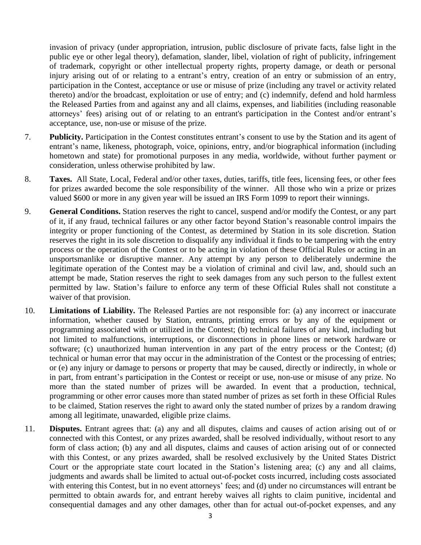invasion of privacy (under appropriation, intrusion, public disclosure of private facts, false light in the public eye or other legal theory), defamation, slander, libel, violation of right of publicity, infringement of trademark, copyright or other intellectual property rights, property damage, or death or personal injury arising out of or relating to a entrant's entry, creation of an entry or submission of an entry, participation in the Contest, acceptance or use or misuse of prize (including any travel or activity related thereto) and/or the broadcast, exploitation or use of entry; and (c) indemnify, defend and hold harmless the Released Parties from and against any and all claims, expenses, and liabilities (including reasonable attorneys' fees) arising out of or relating to an entrant's participation in the Contest and/or entrant's acceptance, use, non-use or misuse of the prize.

- 7. **Publicity.** Participation in the Contest constitutes entrant's consent to use by the Station and its agent of entrant's name, likeness, photograph, voice, opinions, entry, and/or biographical information (including hometown and state) for promotional purposes in any media, worldwide, without further payment or consideration, unless otherwise prohibited by law.
- 8. **Taxes.** All State, Local, Federal and/or other taxes, duties, tariffs, title fees, licensing fees, or other fees for prizes awarded become the sole responsibility of the winner. All those who win a prize or prizes valued \$600 or more in any given year will be issued an IRS Form 1099 to report their winnings.
- 9. **General Conditions.** Station reserves the right to cancel, suspend and/or modify the Contest, or any part of it, if any fraud, technical failures or any other factor beyond Station's reasonable control impairs the integrity or proper functioning of the Contest, as determined by Station in its sole discretion. Station reserves the right in its sole discretion to disqualify any individual it finds to be tampering with the entry process or the operation of the Contest or to be acting in violation of these Official Rules or acting in an unsportsmanlike or disruptive manner. Any attempt by any person to deliberately undermine the legitimate operation of the Contest may be a violation of criminal and civil law, and, should such an attempt be made, Station reserves the right to seek damages from any such person to the fullest extent permitted by law. Station's failure to enforce any term of these Official Rules shall not constitute a waiver of that provision.
- 10. **Limitations of Liability.** The Released Parties are not responsible for: (a) any incorrect or inaccurate information, whether caused by Station, entrants, printing errors or by any of the equipment or programming associated with or utilized in the Contest; (b) technical failures of any kind, including but not limited to malfunctions, interruptions, or disconnections in phone lines or network hardware or software; (c) unauthorized human intervention in any part of the entry process or the Contest; (d) technical or human error that may occur in the administration of the Contest or the processing of entries; or (e) any injury or damage to persons or property that may be caused, directly or indirectly, in whole or in part, from entrant's participation in the Contest or receipt or use, non-use or misuse of any prize. No more than the stated number of prizes will be awarded. In event that a production, technical, programming or other error causes more than stated number of prizes as set forth in these Official Rules to be claimed, Station reserves the right to award only the stated number of prizes by a random drawing among all legitimate, unawarded, eligible prize claims.
- 11. **Disputes.** Entrant agrees that: (a) any and all disputes, claims and causes of action arising out of or connected with this Contest, or any prizes awarded, shall be resolved individually, without resort to any form of class action; (b) any and all disputes, claims and causes of action arising out of or connected with this Contest, or any prizes awarded, shall be resolved exclusively by the United States District Court or the appropriate state court located in the Station's listening area; (c) any and all claims, judgments and awards shall be limited to actual out-of-pocket costs incurred, including costs associated with entering this Contest, but in no event attorneys' fees; and (d) under no circumstances will entrant be permitted to obtain awards for, and entrant hereby waives all rights to claim punitive, incidental and consequential damages and any other damages, other than for actual out-of-pocket expenses, and any